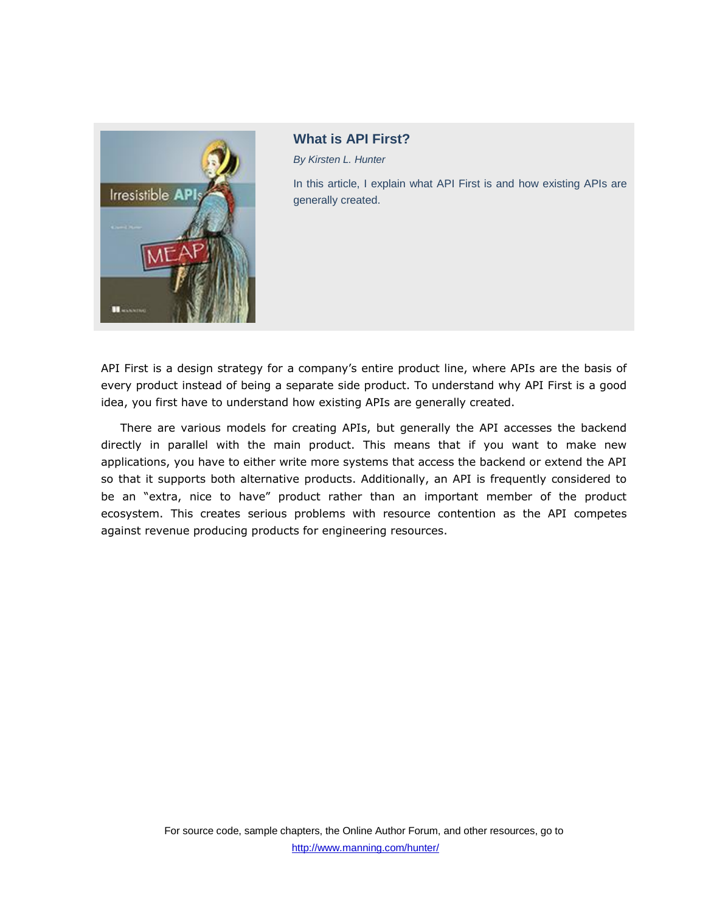

**What is API First?**

*By Kirsten L. Hunter*

In this article, I explain what API First is and how existing APIs are generally created.

API First is a design strategy for a company's entire product line, where APIs are the basis of every product instead of being a separate side product. To understand why API First is a good idea, you first have to understand how existing APIs are generally created.

There are various models for creating APIs, but generally the API accesses the backend directly in parallel with the main product. This means that if you want to make new applications, you have to either write more systems that access the backend or extend the API so that it supports both alternative products. Additionally, an API is frequently considered to be an "extra, nice to have" product rather than an important member of the product ecosystem. This creates serious problems with resource contention as the API competes against revenue producing products for engineering resources.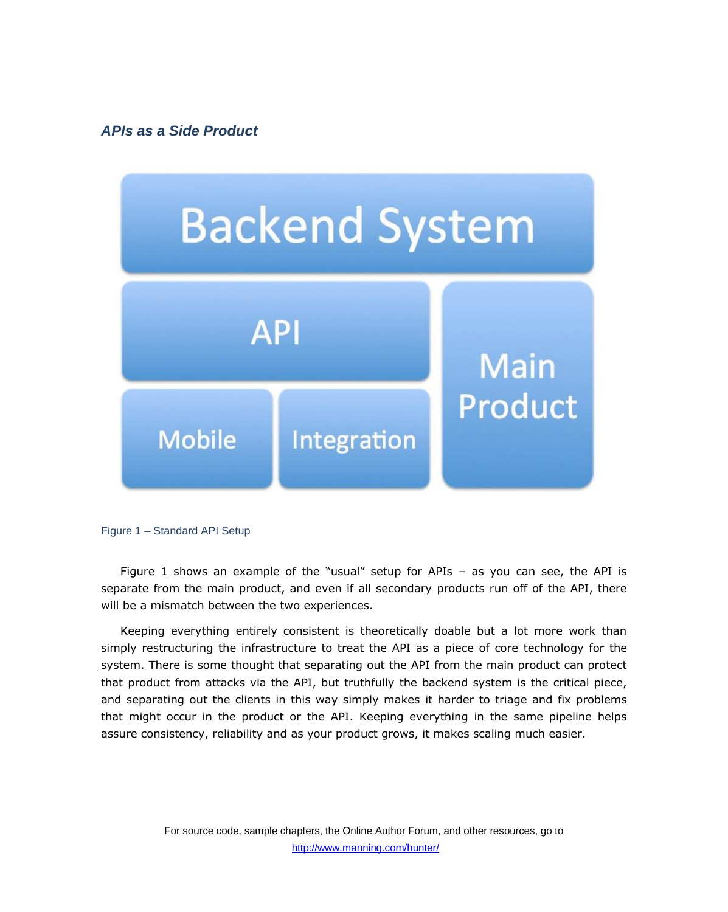*APIs as a Side Product*



Figure 1 – Standard API Setup

Figure 1 shows an example of the "usual" setup for APIs – as you can see, the API is separate from the main product, and even if all secondary products run off of the API, there will be a mismatch between the two experiences.

Keeping everything entirely consistent is theoretically doable but a lot more work than simply restructuring the infrastructure to treat the API as a piece of core technology for the system. There is some thought that separating out the API from the main product can protect that product from attacks via the API, but truthfully the backend system is the critical piece, and separating out the clients in this way simply makes it harder to triage and fix problems that might occur in the product or the API. Keeping everything in the same pipeline helps assure consistency, reliability and as your product grows, it makes scaling much easier.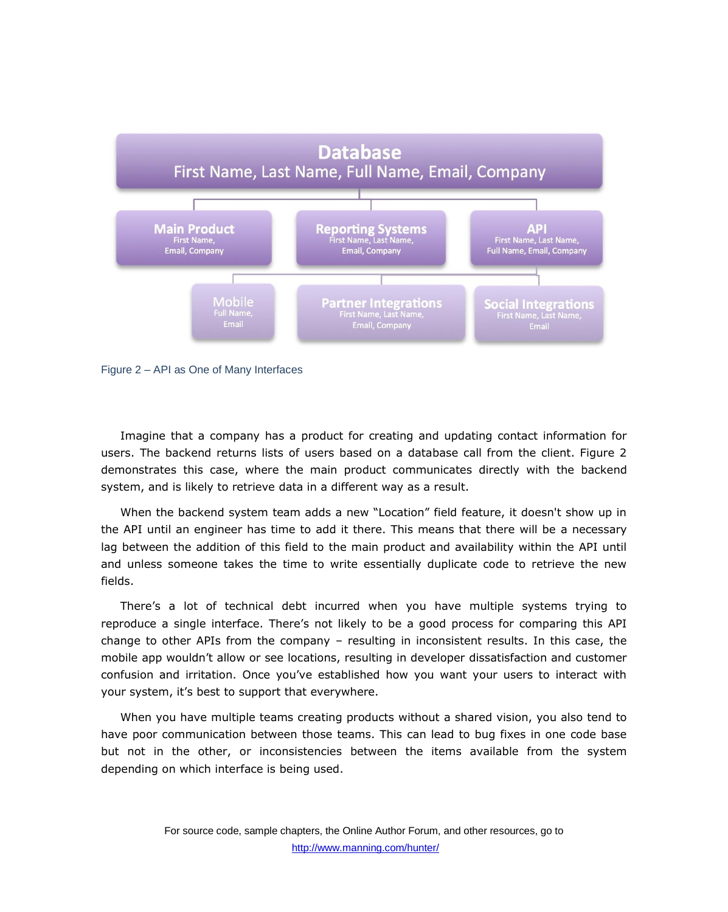



Imagine that a company has a product for creating and updating contact information for users. The backend returns lists of users based on a database call from the client. Figure 2 demonstrates this case, where the main product communicates directly with the backend system, and is likely to retrieve data in a different way as a result.

When the backend system team adds a new "Location" field feature, it doesn't show up in the API until an engineer has time to add it there. This means that there will be a necessary lag between the addition of this field to the main product and availability within the API until and unless someone takes the time to write essentially duplicate code to retrieve the new fields.

There's a lot of technical debt incurred when you have multiple systems trying to reproduce a single interface. There's not likely to be a good process for comparing this API change to other APIs from the company – resulting in inconsistent results. In this case, the mobile app wouldn't allow or see locations, resulting in developer dissatisfaction and customer confusion and irritation. Once you've established how you want your users to interact with your system, it's best to support that everywhere.

When you have multiple teams creating products without a shared vision, you also tend to have poor communication between those teams. This can lead to bug fixes in one code base but not in the other, or inconsistencies between the items available from the system depending on which interface is being used.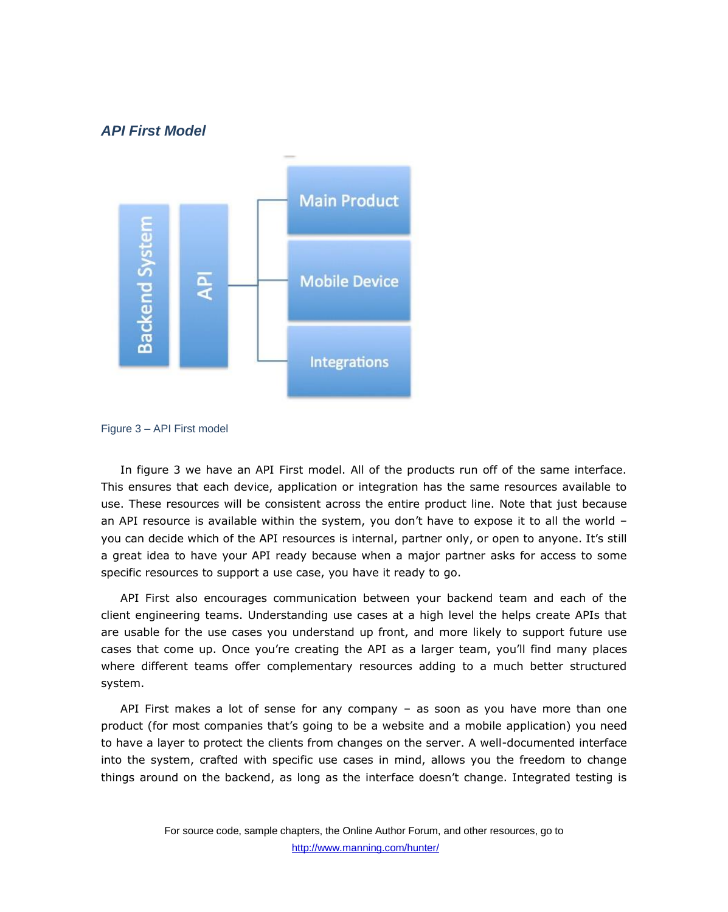## *API First Model*





In figure 3 we have an API First model. All of the products run off of the same interface. This ensures that each device, application or integration has the same resources available to use. These resources will be consistent across the entire product line. Note that just because an API resource is available within the system, you don't have to expose it to all the world – you can decide which of the API resources is internal, partner only, or open to anyone. It's still a great idea to have your API ready because when a major partner asks for access to some specific resources to support a use case, you have it ready to go.

API First also encourages communication between your backend team and each of the client engineering teams. Understanding use cases at a high level the helps create APIs that are usable for the use cases you understand up front, and more likely to support future use cases that come up. Once you're creating the API as a larger team, you'll find many places where different teams offer complementary resources adding to a much better structured system.

API First makes a lot of sense for any company – as soon as you have more than one product (for most companies that's going to be a website and a mobile application) you need to have a layer to protect the clients from changes on the server. A well-documented interface into the system, crafted with specific use cases in mind, allows you the freedom to change things around on the backend, as long as the interface doesn't change. Integrated testing is